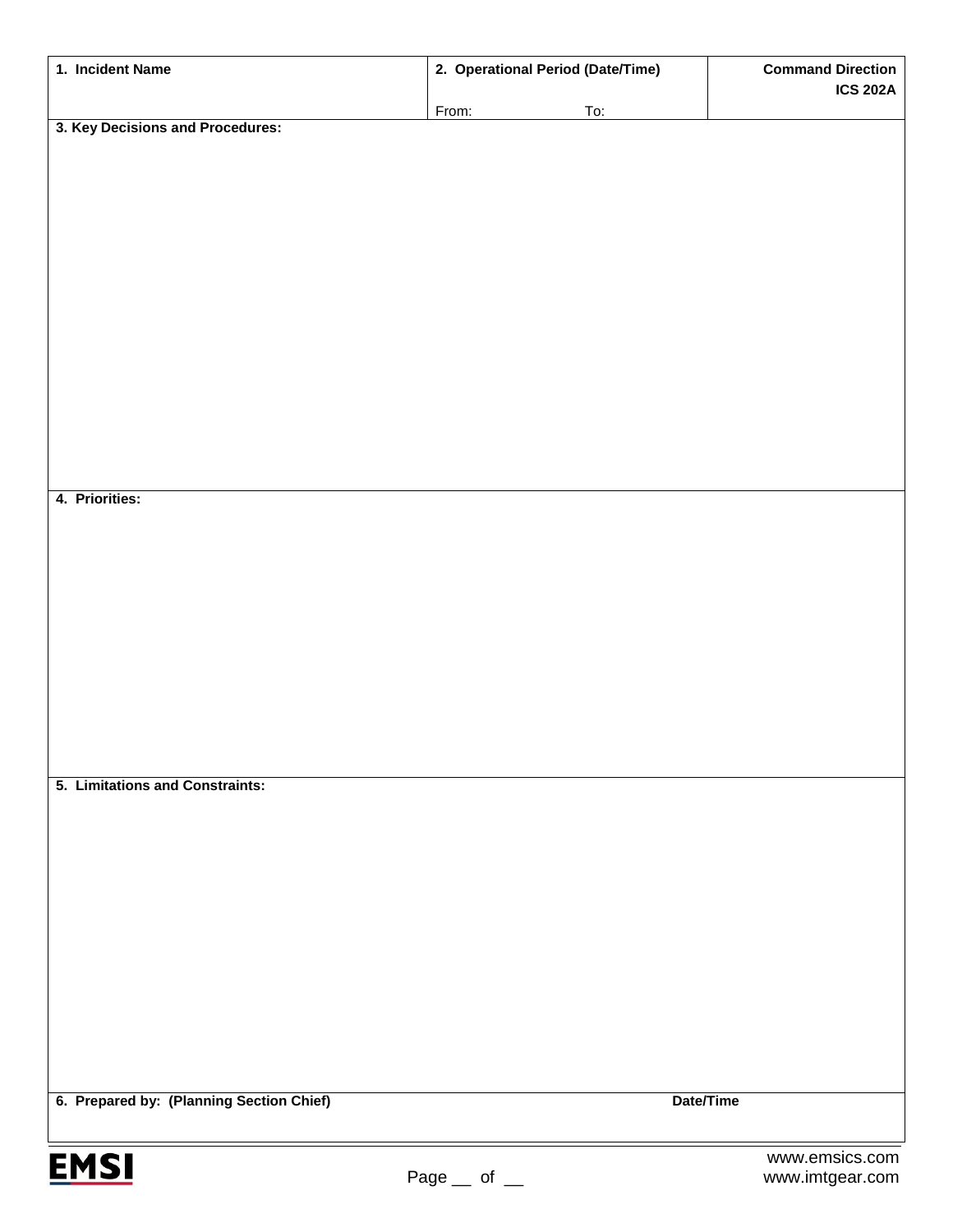| 1. Incident Name                         | 2. Operational Period (Date/Time) |           | <b>Command Direction</b> |
|------------------------------------------|-----------------------------------|-----------|--------------------------|
|                                          |                                   |           | <b>ICS 202A</b>          |
| 3. Key Decisions and Procedures:         | From:                             | To:       |                          |
|                                          |                                   |           |                          |
|                                          |                                   |           |                          |
|                                          |                                   |           |                          |
|                                          |                                   |           |                          |
|                                          |                                   |           |                          |
|                                          |                                   |           |                          |
|                                          |                                   |           |                          |
|                                          |                                   |           |                          |
|                                          |                                   |           |                          |
|                                          |                                   |           |                          |
|                                          |                                   |           |                          |
|                                          |                                   |           |                          |
|                                          |                                   |           |                          |
| 4. Priorities:                           |                                   |           |                          |
|                                          |                                   |           |                          |
|                                          |                                   |           |                          |
|                                          |                                   |           |                          |
|                                          |                                   |           |                          |
|                                          |                                   |           |                          |
|                                          |                                   |           |                          |
|                                          |                                   |           |                          |
|                                          |                                   |           |                          |
|                                          |                                   |           |                          |
| 5. Limitations and Constraints:          |                                   |           |                          |
|                                          |                                   |           |                          |
|                                          |                                   |           |                          |
|                                          |                                   |           |                          |
|                                          |                                   |           |                          |
|                                          |                                   |           |                          |
|                                          |                                   |           |                          |
|                                          |                                   |           |                          |
|                                          |                                   |           |                          |
|                                          |                                   |           |                          |
|                                          |                                   |           |                          |
|                                          |                                   |           |                          |
| 6. Prepared by: (Planning Section Chief) |                                   | Date/Time |                          |
|                                          |                                   |           |                          |
|                                          |                                   |           | www.emsics.com           |
| <b>EMSI</b>                              | Page<br>of                        |           | www.imtgear.com          |